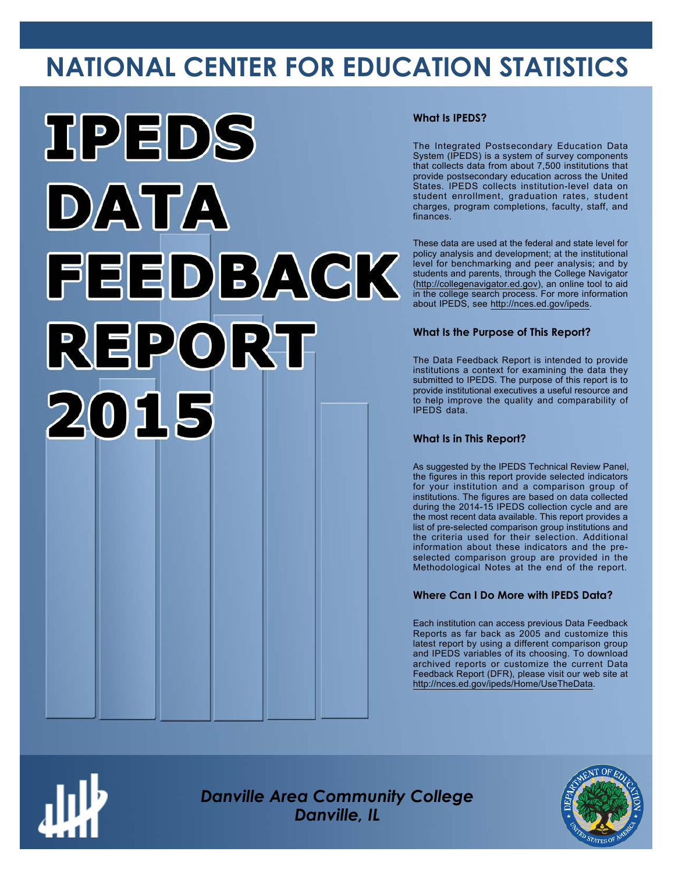# **NATIONAL CENTER FOR EDUCATION STATISTICS**



# **What Is IPEDS?**

The Integrated Postsecondary Education Data System (IPEDS) is a system of survey components that collects data from about 7,500 institutions that provide postsecondary education across the United States. IPEDS collects institution-level data on student enrollment, graduation rates, student charges, program completions, faculty, staff, and finances.

These data are used at the federal and state level for policy analysis and development; at the institutional level for benchmarking and peer analysis; and by students and parents, through the College Navigator ([http://collegenavigator.ed.gov\)](http://collegenavigator.ed.gov), an online tool to aid in the college search process. For more information about IPEDS, see [http://nces.ed.gov/ipeds.](http://nces.ed.gov/ipeds)

# **What Is the Purpose of This Report?**

The Data Feedback Report is intended to provide institutions a context for examining the data they submitted to IPEDS. The purpose of this report is to provide institutional executives a useful resource and to help improve the quality and comparability of IPEDS data.

# **What Is in This Report?**

As suggested by the IPEDS Technical Review Panel, the figures in this report provide selected indicators for your institution and a comparison group of institutions. The figures are based on data collected during the 2014-15 IPEDS collection cycle and are the most recent data available. This report provides a list of pre-selected comparison group institutions and the criteria used for their selection. Additional information about these indicators and the preselected comparison group are provided in the Methodological Notes at the end of the report.

# **Where Can I Do More with IPEDS Data?**

Each institution can access previous Data Feedback Reports as far back as 2005 and customize this latest report by using a different comparison group and IPEDS variables of its choosing. To download archived reports or customize the current Data Feedback Report (DFR), please visit our web site at [http://nces.ed.gov/ipeds/Home/UseTheData.](http://nces.ed.gov/ipeds/Home/UseTheData)



*Danville Area Community College Danville, IL*

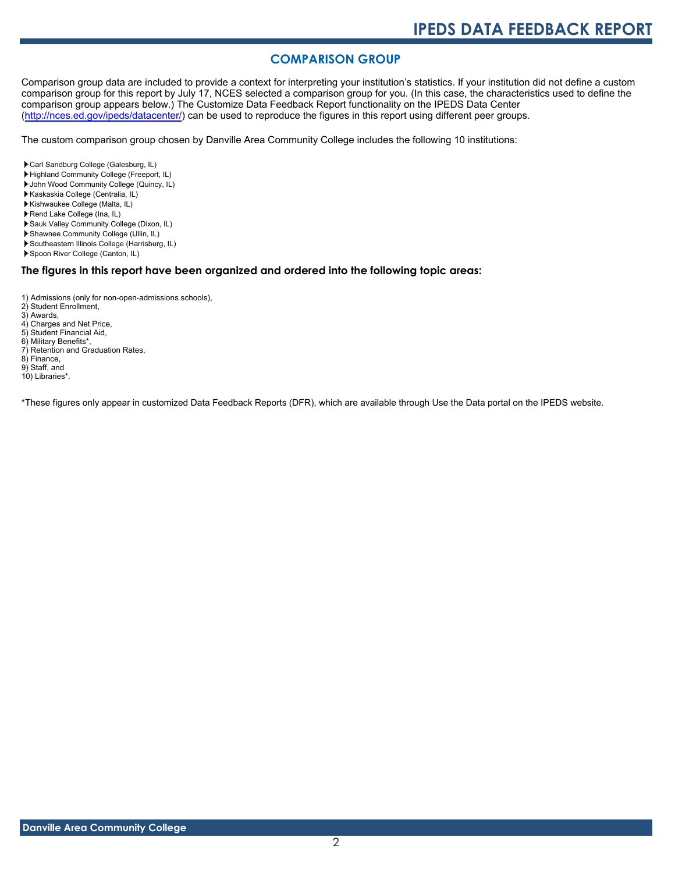# **COMPARISON GROUP**

Comparison group data are included to provide a context for interpreting your institution's statistics. If your institution did not define a custom comparison group for this report by July 17, NCES selected a comparison group for you. (In this case, the characteristics used to define the comparison group appears below.) The Customize Data Feedback Report functionality on the IPEDS Data Center [\(http://nces.ed.gov/ipeds/datacenter/\)](http://nces.ed.gov/ipeds/datacenter/) can be used to reproduce the figures in this report using different peer groups.

The custom comparison group chosen by Danville Area Community College includes the following 10 institutions:

- Carl Sandburg College (Galesburg, IL)
- Highland Community College (Freeport, IL)
- John Wood Community College (Quincy, IL)
- Kaskaskia College (Centralia, IL)
- Kishwaukee College (Malta, IL)
- Rend Lake College (Ina, IL)
- Sauk Valley Community College (Dixon, IL)
- Shawnee Community College (Ullin, IL)
- Southeastern Illinois College (Harrisburg, IL)
- Spoon River College (Canton, IL)

# **The figures in this report have been organized and ordered into the following topic areas:**

- 1) Admissions (only for non-open-admissions schools), 2) Student Enrollment,
- 
- 3) Awards,
- 4) Charges and Net Price,
- 5) Student Financial Aid,
- 6) Military Benefits\*,
- 7) Retention and Graduation Rates, 8) Finance,
- 
- 9) Staff, and 10) Libraries\*.

\*These figures only appear in customized Data Feedback Reports (DFR), which are available through Use the Data portal on the IPEDS website.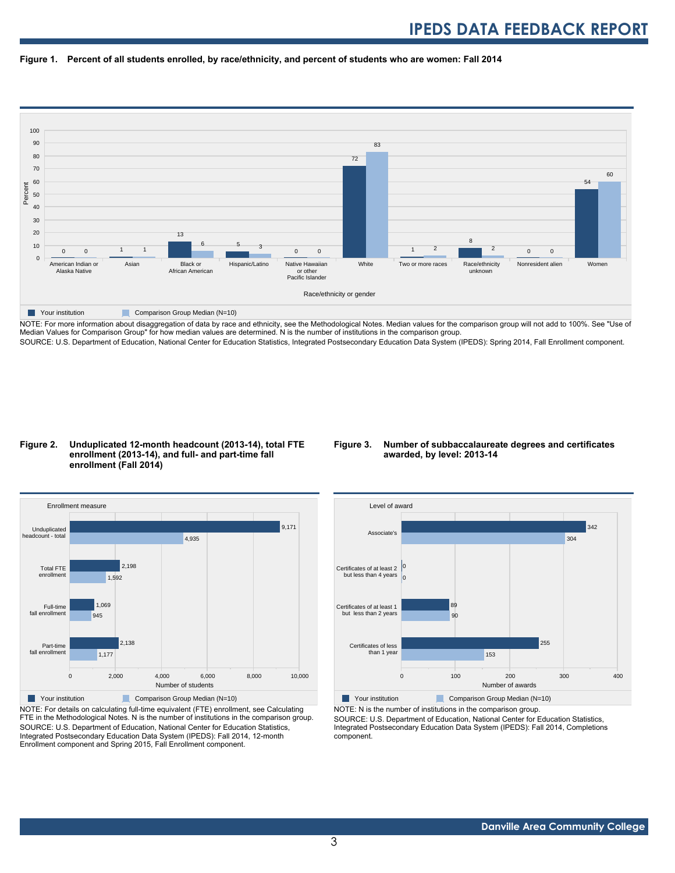



NOTE: For more information about disaggregation of data by race and ethnicity, see the Methodological Notes. Median values for the comparison group will not add to 100%. See "Use of Median Values for Comparison Group" for how median values are determined. N is the number of institutions in the comparison group. SOURCE: U.S. Department of Education, National Center for Education Statistics, Integrated Postsecondary Education Data System (IPEDS): Spring 2014, Fall Enrollment component.

# **Figure 2. Unduplicated 12-month headcount (2013-14), total FTE enrollment (2013-14), and full- and part-time fall enrollment (Fall 2014)**

# **Figure 3. Number of subbaccalaureate degrees and certificates awarded, by level: 2013-14**



NOTE: For details on calculating full-time equivalent (FTE) enrollment, see Calculating FTE in the Methodological Notes. N is the number of institutions in the comparison group. SOURCE: U.S. Department of Education, National Center for Education Statistics, Integrated Postsecondary Education Data System (IPEDS): Fall 2014, 12-month Enrollment component and Spring 2015, Fall Enrollment component.



NOTE: N is the number of institutions in the comparison group.

SOURCE: U.S. Department of Education, National Center for Education Statistics, Integrated Postsecondary Education Data System (IPEDS): Fall 2014, Completions component.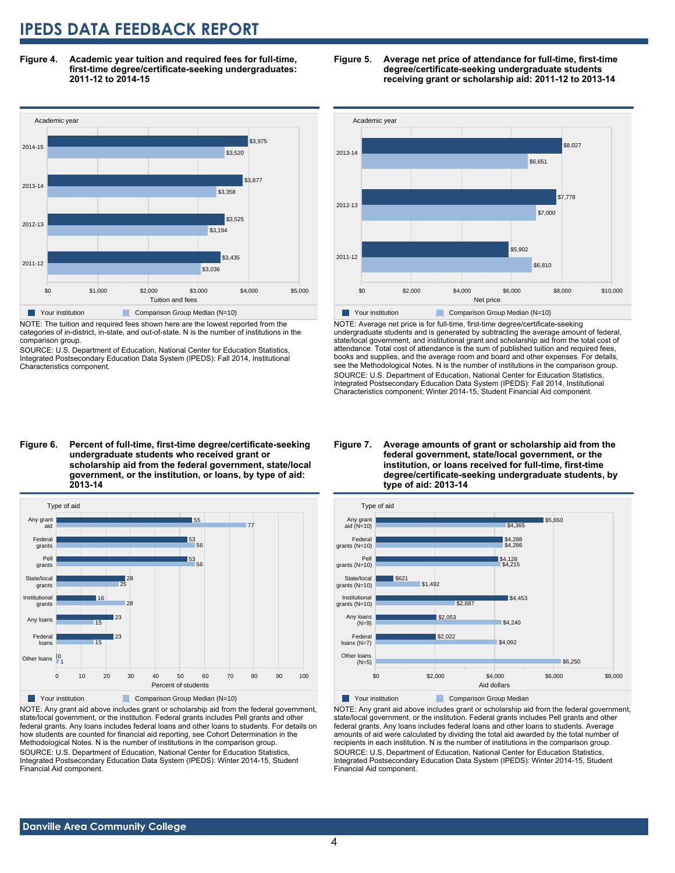**Figure 4. Academic year tuition and required fees for full-time, first-time degree/certificate-seeking undergraduates: 2011-12 to 2014-15**



NOTE: The tuition and required fees shown here are the lowest reported from the categories of in-district, in-state, and out-of-state. N is the number of institutions in the comparison group.

SOURCE: U.S. Department of Education, National Center for Education Statistics, Integrated Postsecondary Education Data System (IPEDS): Fall 2014, Institutional Characteristics component.





NOTE: Average net price is for full-time, first-time degree/certificate-seeking undergraduate students and is generated by subtracting the average amount of federal, state/local government, and institutional grant and scholarship aid from the total cost of attendance. Total cost of attendance is the sum of published tuition and required fees, books and supplies, and the average room and board and other expenses. For details, see the Methodological Notes. N is the number of institutions in the comparison group. SOURCE: U.S. Department of Education, National Center for Education Statistics, Integrated Postsecondary Education Data System (IPEDS): Fall 2014, Institutional Characteristics component; Winter 2014-15, Student Financial Aid component.

**Figure 6. Percent of full-time, first-time degree/certificate-seeking undergraduate students who received grant or scholarship aid from the federal government, state/local government, or the institution, or loans, by type of aid: 2013-14**



NOTE: Any grant aid above includes grant or scholarship aid from the federal government, state/local government, or the institution. Federal grants includes Pell grants and other federal grants. Any loans includes federal loans and other loans to students. For details on how students are counted for financial aid reporting, see Cohort Determination in the Methodological Notes. N is the number of institutions in the comparison group. SOURCE: U.S. Department of Education, National Center for Education Statistics, Integrated Postsecondary Education Data System (IPEDS): Winter 2014-15, Student Financial Aid component.

#### **Figure 7. Average amounts of grant or scholarship aid from the federal government, state/local government, or the institution, or loans received for full-time, first-time degree/certificate-seeking undergraduate students, by type of aid: 2013-14**



**Your institution Comparison Group Median** 

NOTE: Any grant aid above includes grant or scholarship aid from the federal government, state/local government, or the institution. Federal grants includes Pell grants and other federal grants. Any loans includes federal loans and other loans to students. Average amounts of aid were calculated by dividing the total aid awarded by the total number of recipients in each institution. N is the number of institutions in the comparison group. SOURCE: U.S. Department of Education, National Center for Education Statistics, Integrated Postsecondary Education Data System (IPEDS): Winter 2014-15, Student Financial Aid component.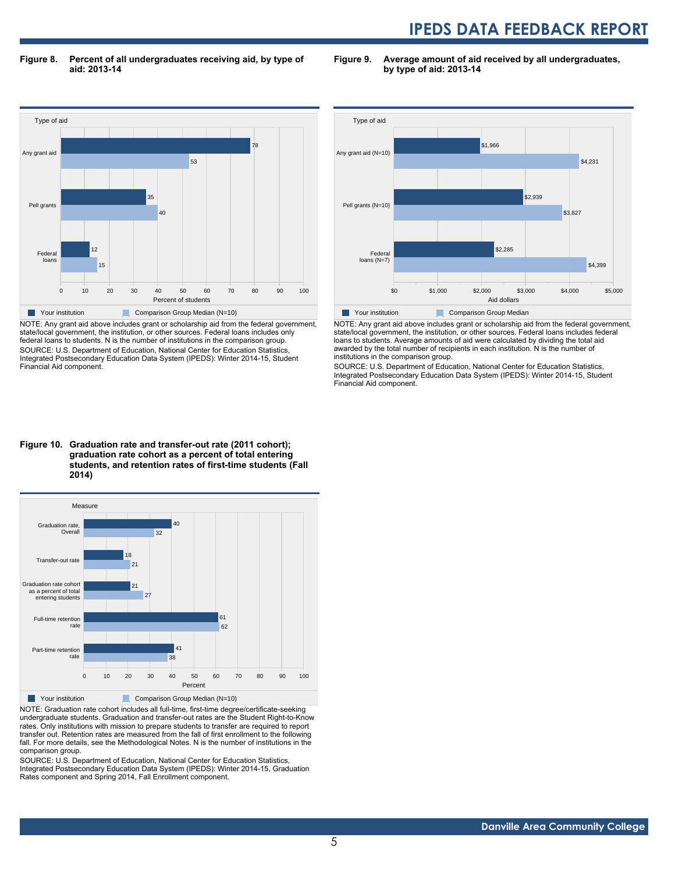**Figure 8. Percent of all undergraduates receiving aid, by type of aid: 2013-14**

**Figure 9. Average amount of aid received by all undergraduates, by type of aid: 2013-14**



NOTE: Any grant aid above includes grant or scholarship aid from the federal government, state/local government, the institution, or other sources. Federal loans includes only federal loans to students. N is the number of institutions in the comparison group. SOURCE: U.S. Department of Education, National Center for Education Statistics, Integrated Postsecondary Education Data System (IPEDS): Winter 2014-15, Student Financial Aid component.



NOTE: Any grant aid above includes grant or scholarship aid from the federal government, state/local government, the institution, or other sources. Federal loans includes federal loans to students. Average amounts of aid were calculated by dividing the total aid awarded by the total number of recipients in each institution. N is the number of institutions in the comparison group.

SOURCE: U.S. Department of Education, National Center for Education Statistics, Integrated Postsecondary Education Data System (IPEDS): Winter 2014-15, Student Financial Aid component.

# **Figure 10. Graduation rate and transfer-out rate (2011 cohort); graduation rate cohort as a percent of total entering students, and retention rates of first-time students (Fall 2014)**



NOTE: Graduation rate cohort includes all full-time, first-time degree/certificate-seeking undergraduate students. Graduation and transfer-out rates are the Student Right-to-Know rates. Only institutions with mission to prepare students to transfer are required to report transfer out. Retention rates are measured from the fall of first enrollment to the following fall. For more details, see the Methodological Notes. N is the number of institutions in the comparison group.

SOURCE: U.S. Department of Education, National Center for Education Statistics, Integrated Postsecondary Education Data System (IPEDS): Winter 2014-15, Graduation Rates component and Spring 2014, Fall Enrollment component.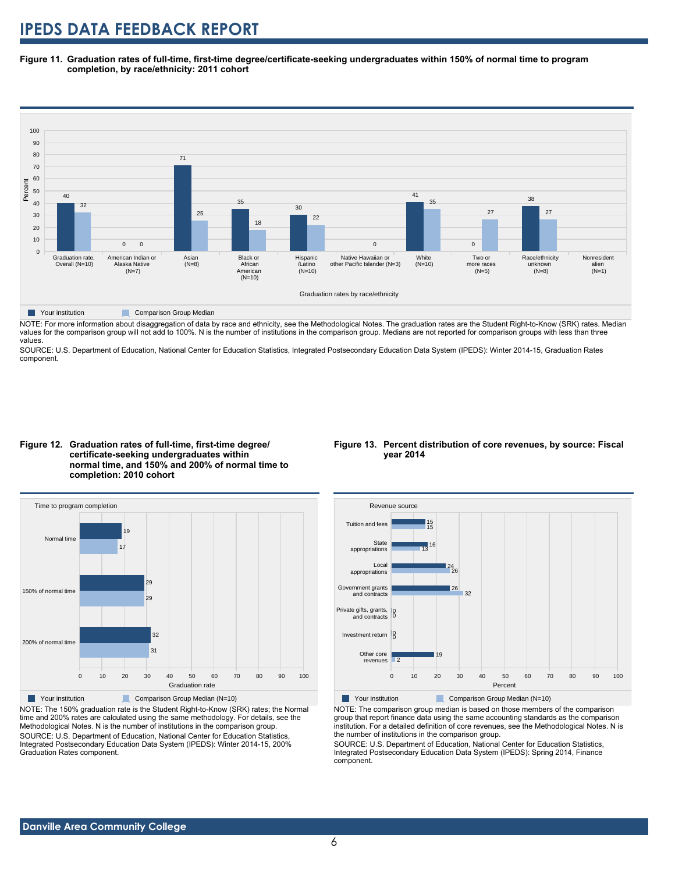**Figure 11. Graduation rates of full-time, first-time degree/certificate-seeking undergraduates within 150% of normal time to program completion, by race/ethnicity: 2011 cohort**



**Table Your institution Comparison Group Median** 

NOTE: For more information about disaggregation of data by race and ethnicity, see the Methodological Notes. The graduation rates are the Student Right-to-Know (SRK) rates. Median values for the comparison group will not add to 100%. N is the number of institutions in the comparison group. Medians are not reported for comparison groups with less than three values.

SOURCE: U.S. Department of Education, National Center for Education Statistics, Integrated Postsecondary Education Data System (IPEDS): Winter 2014-15, Graduation Rates component.





NOTE: The 150% graduation rate is the Student Right-to-Know (SRK) rates; the Normal time and 200% rates are calculated using the same methodology. For details, see the Methodological Notes. N is the number of institutions in the comparison group. SOURCE: U.S. Department of Education, National Center for Education Statistics, Integrated Postsecondary Education Data System (IPEDS): Winter 2014-15, 200% Graduation Rates component.

# **Figure 13. Percent distribution of core revenues, by source: Fiscal year 2014**



Your institution Comparison Group Median (N=10)

NOTE: The comparison group median is based on those members of the comparison group that report finance data using the same accounting standards as the comparison institution. For a detailed definition of core revenues, see the Methodological Notes. N is the number of institutions in the comparison group.

SOURCE: U.S. Department of Education, National Center for Education Statistics, Integrated Postsecondary Education Data System (IPEDS): Spring 2014, Finance component.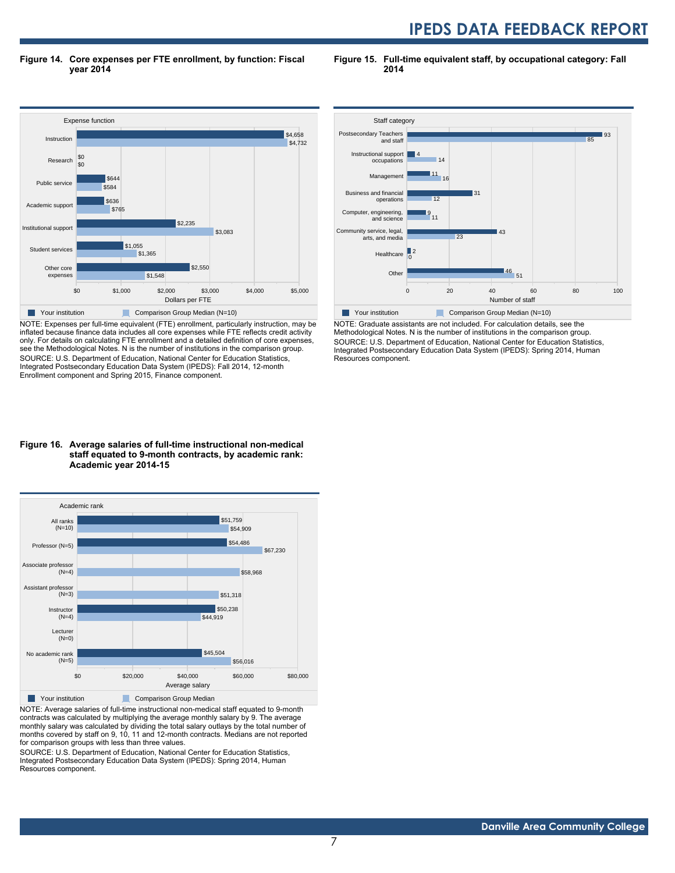**Figure 14. Core expenses per FTE enrollment, by function: Fiscal year 2014**

**Figure 15. Full-time equivalent staff, by occupational category: Fall 2014**



NOTE: Expenses per full-time equivalent (FTE) enrollment, particularly instruction, may be inflated because finance data includes all core expenses while FTE reflects credit activity only. For details on calculating FTE enrollment and a detailed definition of core expenses, see the Methodological Notes. N is the number of institutions in the comparison group. SOURCE: U.S. Department of Education, National Center for Education Statistics, Integrated Postsecondary Education Data System (IPEDS): Fall 2014, 12-month Enrollment component and Spring 2015, Finance component.

#### **Figure 16. Average salaries of full-time instructional non-medical staff equated to 9-month contracts, by academic rank: Academic year 2014-15**



NOTE: Average salaries of full-time instructional non-medical staff equated to 9-month contracts was calculated by multiplying the average monthly salary by 9. The average monthly salary was calculated by dividing the total salary outlays by the total number of months covered by staff on 9, 10, 11 and 12-month contracts. Medians are not reported for comparison groups with less than three values.

SOURCE: U.S. Department of Education, National Center for Education Statistics, Integrated Postsecondary Education Data System (IPEDS): Spring 2014, Human Resources component.



NOTE: Graduate assistants are not included. For calculation details, see the Methodological Notes. N is the number of institutions in the comparison group. SOURCE: U.S. Department of Education, National Center for Education Statistics, Integrated Postsecondary Education Data System (IPEDS): Spring 2014, Human Resources component.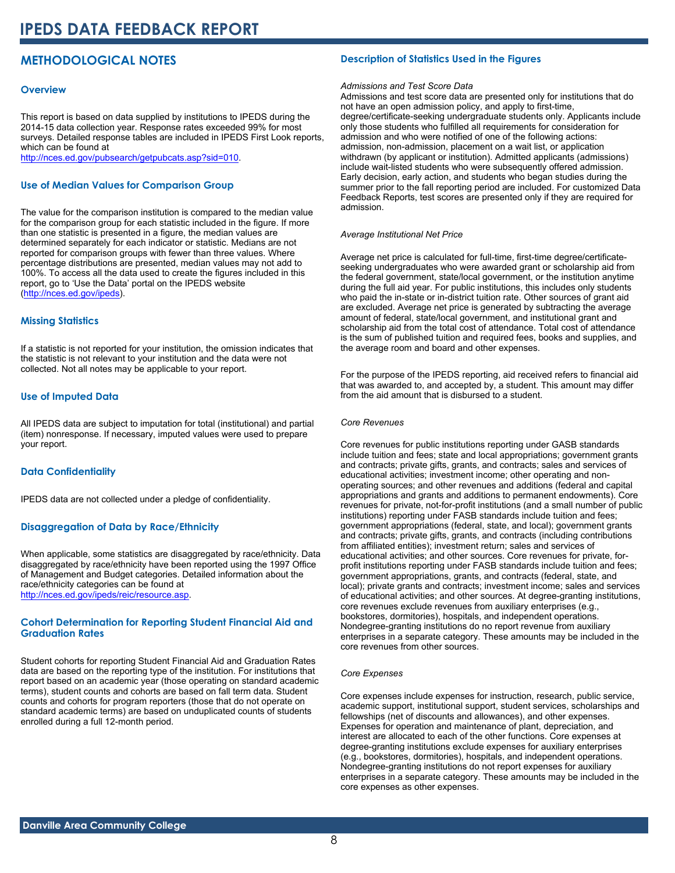# **METHODOLOGICAL NOTES**

# **Overview**

This report is based on data supplied by institutions to IPEDS during the 2014-15 data collection year. Response rates exceeded 99% for most surveys. Detailed response tables are included in IPEDS First Look reports, which can be found at [http://nces.ed.gov/pubsearch/getpubcats.asp?sid=010.](http://nces.ed.gov/pubsearch/getpubcats.asp?sid=010)

# **Use of Median Values for Comparison Group**

The value for the comparison institution is compared to the median value for the comparison group for each statistic included in the figure. If more than one statistic is presented in a figure, the median values are determined separately for each indicator or statistic. Medians are not reported for comparison groups with fewer than three values. Where percentage distributions are presented, median values may not add to 100%. To access all the data used to create the figures included in this report, go to 'Use the Data' portal on the IPEDS website ([http://nces.ed.gov/ipeds\)](http://nces.ed.gov/ipeds).

# **Missing Statistics**

If a statistic is not reported for your institution, the omission indicates that the statistic is not relevant to your institution and the data were not collected. Not all notes may be applicable to your report.

# **Use of Imputed Data**

All IPEDS data are subject to imputation for total (institutional) and partial (item) nonresponse. If necessary, imputed values were used to prepare your report.

# **Data Confidentiality**

IPEDS data are not collected under a pledge of confidentiality.

# **Disaggregation of Data by Race/Ethnicity**

When applicable, some statistics are disaggregated by race/ethnicity. Data disaggregated by race/ethnicity have been reported using the 1997 Office of Management and Budget categories. Detailed information about the race/ethnicity categories can be found at <http://nces.ed.gov/ipeds/reic/resource.asp>.

# **Cohort Determination for Reporting Student Financial Aid and Graduation Rates**

Student cohorts for reporting Student Financial Aid and Graduation Rates data are based on the reporting type of the institution. For institutions that report based on an academic year (those operating on standard academic terms), student counts and cohorts are based on fall term data. Student counts and cohorts for program reporters (those that do not operate on standard academic terms) are based on unduplicated counts of students enrolled during a full 12-month period.

# **Description of Statistics Used in the Figures**

# *Admissions and Test Score Data*

Admissions and test score data are presented only for institutions that do not have an open admission policy, and apply to first-time, degree/certificate-seeking undergraduate students only. Applicants include only those students who fulfilled all requirements for consideration for admission and who were notified of one of the following actions: admission, non-admission, placement on a wait list, or application withdrawn (by applicant or institution). Admitted applicants (admissions) include wait-listed students who were subsequently offered admission. Early decision, early action, and students who began studies during the summer prior to the fall reporting period are included. For customized Data Feedback Reports, test scores are presented only if they are required for admission.

#### *Average Institutional Net Price*

Average net price is calculated for full-time, first-time degree/certificateseeking undergraduates who were awarded grant or scholarship aid from the federal government, state/local government, or the institution anytime during the full aid year. For public institutions, this includes only students who paid the in-state or in-district tuition rate. Other sources of grant aid are excluded. Average net price is generated by subtracting the average amount of federal, state/local government, and institutional grant and scholarship aid from the total cost of attendance. Total cost of attendance is the sum of published tuition and required fees, books and supplies, and the average room and board and other expenses.

For the purpose of the IPEDS reporting, aid received refers to financial aid that was awarded to, and accepted by, a student. This amount may differ from the aid amount that is disbursed to a student.

#### *Core Revenues*

Core revenues for public institutions reporting under GASB standards include tuition and fees; state and local appropriations; government grants and contracts; private gifts, grants, and contracts; sales and services of educational activities; investment income; other operating and nonoperating sources; and other revenues and additions (federal and capital appropriations and grants and additions to permanent endowments). Core revenues for private, not-for-profit institutions (and a small number of public institutions) reporting under FASB standards include tuition and fees; government appropriations (federal, state, and local); government grants and contracts; private gifts, grants, and contracts (including contributions from affiliated entities); investment return; sales and services of educational activities; and other sources. Core revenues for private, forprofit institutions reporting under FASB standards include tuition and fees; government appropriations, grants, and contracts (federal, state, and local); private grants and contracts; investment income; sales and services of educational activities; and other sources. At degree-granting institutions, core revenues exclude revenues from auxiliary enterprises (e.g., bookstores, dormitories), hospitals, and independent operations. Nondegree-granting institutions do no report revenue from auxiliary enterprises in a separate category. These amounts may be included in the core revenues from other sources.

# *Core Expenses*

Core expenses include expenses for instruction, research, public service, academic support, institutional support, student services, scholarships and fellowships (net of discounts and allowances), and other expenses. Expenses for operation and maintenance of plant, depreciation, and interest are allocated to each of the other functions. Core expenses at degree-granting institutions exclude expenses for auxiliary enterprises (e.g., bookstores, dormitories), hospitals, and independent operations. Nondegree-granting institutions do not report expenses for auxiliary enterprises in a separate category. These amounts may be included in the core expenses as other expenses.